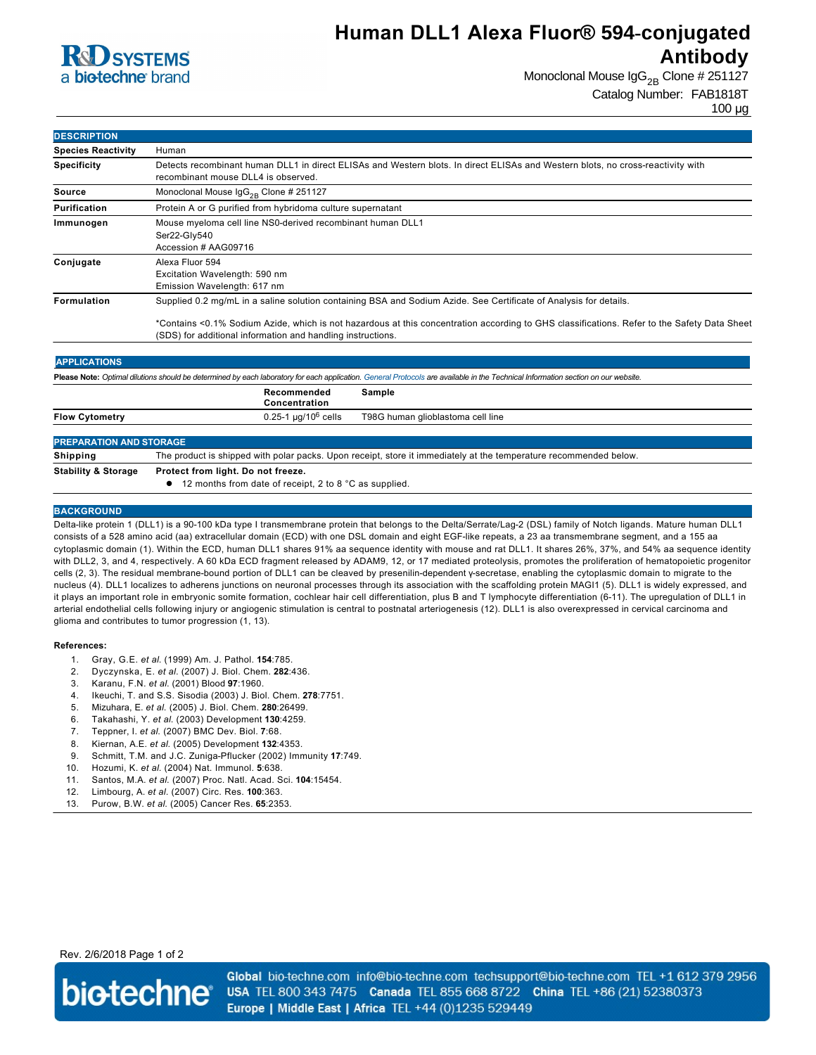

## **Human DLL1 Alexa Fluor® 594-conjugated Antibody**

Monoclonal Mouse  $\lg G_{2B}$  Clone # 251127 Catalog Number: FAB1818T

100 µg

| <b>DESCRIPTION</b>             |                                                                                                                                                                                                            |
|--------------------------------|------------------------------------------------------------------------------------------------------------------------------------------------------------------------------------------------------------|
| <b>Species Reactivity</b>      | Human                                                                                                                                                                                                      |
| <b>Specificity</b>             | Detects recombinant human DLL1 in direct ELISAs and Western blots. In direct ELISAs and Western blots, no cross-reactivity with<br>recombinant mouse DLL4 is observed.                                     |
| <b>Source</b>                  | Monoclonal Mouse $\text{lgG}_{2B}$ Clone # 251127                                                                                                                                                          |
| Purification                   | Protein A or G purified from hybridoma culture supernatant                                                                                                                                                 |
| Immunogen                      | Mouse myeloma cell line NS0-derived recombinant human DLL1<br>Ser22-Gly540<br>Accession # AAG09716                                                                                                         |
| Conjugate                      | Alexa Fluor 594<br>Excitation Wavelength: 590 nm<br>Emission Wavelength: 617 nm                                                                                                                            |
| Formulation                    | Supplied 0.2 mg/mL in a saline solution containing BSA and Sodium Azide. See Certificate of Analysis for details.                                                                                          |
|                                | *Contains <0.1% Sodium Azide, which is not hazardous at this concentration according to GHS classifications. Refer to the Safety Data Sheet<br>(SDS) for additional information and handling instructions. |
| <b>APPLICATIONS</b>            |                                                                                                                                                                                                            |
|                                | Please Note: Optimal dilutions should be determined by each laboratory for each application. General Protocols are available in the Technical Information section on our website.                          |
|                                | Recommended<br>Sample<br>Concentration                                                                                                                                                                     |
| <b>Flow Cytometry</b>          | $0.25 - 1 \mu q/10^6$ cells<br>T98G human glioblastoma cell line                                                                                                                                           |
| <b>PREPARATION AND STORAGE</b> |                                                                                                                                                                                                            |
| <b>Shipping</b>                | The product is shipped with polar packs. Upon receipt, store it immediately at the temperature recommended below.                                                                                          |
| <b>Stability &amp; Storage</b> | Protect from light. Do not freeze.                                                                                                                                                                         |

● 12 months from date of receipt, 2 to 8 °C as supplied.

### **BACKGROUND**

Delta-like protein 1 (DLL1) is a 90-100 kDa type I transmembrane protein that belongs to the Delta/Serrate/Lag-2 (DSL) family of Notch ligands. Mature human DLL1 consists of a 528 amino acid (aa) extracellular domain (ECD) with one DSL domain and eight EGF-like repeats, a 23 aa transmembrane segment, and a 155 aa cytoplasmic domain (1). Within the ECD, human DLL1 shares 91% aa sequence identity with mouse and rat DLL1. It shares 26%, 37%, and 54% aa sequence identity with DLL2, 3, and 4, respectively. A 60 kDa ECD fragment released by ADAM9, 12, or 17 mediated proteolysis, promotes the proliferation of hematopoietic progenitor cells (2, 3). The residual membrane-bound portion of DLL1 can be cleaved by presenilin-dependent γ-secretase, enabling the cytoplasmic domain to migrate to the nucleus (4). DLL1 localizes to adherens junctions on neuronal processes through its association with the scaffolding protein MAGI1 (5). DLL1 is widely expressed, and it plays an important role in embryonic somite formation, cochlear hair cell differentiation, plus B and T lymphocyte differentiation (6-11). The upregulation of DLL1 in arterial endothelial cells following injury or angiogenic stimulation is central to postnatal arteriogenesis (12). DLL1 is also overexpressed in cervical carcinoma and glioma and contributes to tumor progression (1, 13).

#### **References:**

- 1. Gray, G.E. *et al*. (1999) Am. J. Pathol. **154**:785.
- 2. Dyczynska, E. *et al*. (2007) J. Biol. Chem. **282**:436.
- 3. Karanu, F.N. *et al*. (2001) Blood **97**:1960.
- 4. Ikeuchi, T. and S.S. Sisodia (2003) J. Biol. Chem. **278**:7751.
- 5. Mizuhara, E. *et al*. (2005) J. Biol. Chem. **280**:26499.
- 6. Takahashi, Y. *et al*. (2003) Development **130**:4259.
- 7. Teppner, I. *et al*. (2007) BMC Dev. Biol. **7**:68.
- 8. Kiernan, A.E. *et al*. (2005) Development **132**:4353.
- 9. Schmitt, T.M. and J.C. Zuniga-Pflucker (2002) Immunity 17:749.
- 10. Hozumi, K. *et al*. (2004) Nat. Immunol. **5**:638.
- 11. Santos, M.A. *et al*. (2007) Proc. Natl. Acad. Sci. **104**:15454.
- 12. Limbourg, A. *et al*. (2007) Circ. Res. **100**:363.
- 13. Purow, B.W. *et al*. (2005) Cancer Res. **65**:2353.

## Rev. 2/6/2018 Page 1 of 2